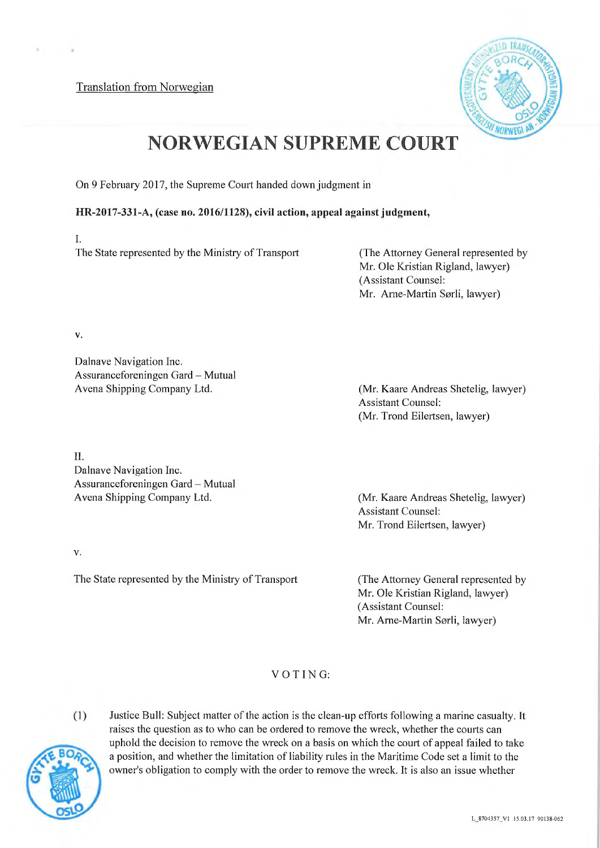Translation from Norwegian



# **NORWEGIAN SUPREME COURT**

On 9 February 2017, the Supreme Court handed down judgment in

### 1]IR-2017-331-A, (case **no.2016/1128), civil action, appeal against judgment,**

I. The State represented by the Ministry of Transport (The Attorney General represented by

Mr. Ole Kristian Rigland, lawyer) (Assistant Counsel: Mr. Arne-Martin Sørli, lawyer)

V.

Dalnave Navigation Inc. Assuranceforeningen Gard - Mutual<br>Avena Shipping Company Ltd.

II. Dalnave Navigation Inc. Assuranceforeningen Gard - Mutual<br>Avena Shipping Company Ltd.

 $V<sub>1</sub>$ 

The State represented by the Ministry of Transport (The Attorney General represented by

(Mr. Kaare Andreas Shetelig, lawyer) Assistant Counsel: (Mr. Trond Eilertsen, lawyer)

(Mr. Kaare Andreas Shetelig, lawyer) Assistant Counsel: Mr. Trond Eilertsen, lawyer)

Mr. Ole Kristian Rigland, lawyer) (Assistant Counsel: Mr. Arne-Martin Sørli, lawyer)

## VOTING:



Justice Bull: Subject matter of the action is the clean-up efforts following a marine casualty. It raises the question as to who can be ordered to remove the wreck, whether the courts can uphold the decision to remove the wreck on a basis on which the court of appeal failed to take a position, and whether the limitation of liability rules in the Maritime Code set a limit to the owner's obligation to comply with the order to remove the wreck. It is also an issue whether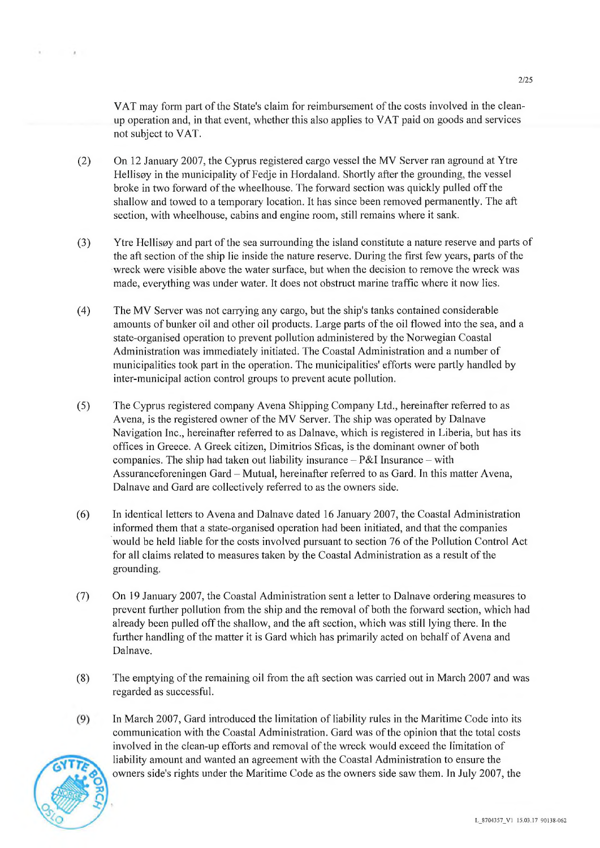**VAT** may form part of the State's claim for reimbursement of the costs involved in the cleanup operation and, in that event, whether this also applies to VAT paid on goods aud services not subject to VAT.

- (2) On 12 January 2007, the Cyprus registered cargo vessel the MV Server ran aground at Ytre Hellisøy in the municipality of Fedje in Hordaland. Shortly after the grounding, the vessel broke in two forward of the wheelhouse. The forward section was quickly pulled off the shallow and towed to a temporary location. li has since been rernoved permanently. The aft section, with wheelhouse, cabins and engine room, still remains where it sank.
- (3) Ytre Hellisøy and part of the sea surrounding the island constitute a nature reserve and parts of the aft section of the ship lie inside the nature reserve. During the first few years, parts of the wreck were visible above the water surface, but when the decision to remove the wreck was made, everything was under water. It does not obstruct marine traffic where it now lies.
- (4) The MV Server was not carrying any cargo, but the ship's tanks contained considerable amounts of bunker oil and other oil products. Large parts of the oil flowed into the sea, and a state-organised operation to prevent pollution administered by the Norwegian Coastal Administration was immediately initiated. The Coastal Administration and a number of municipalities took part in the operation. The municipalities' efforts were partly handled by inter-municipal action control groups to prevent acute pollution.
- (5) The Cyprus registered company Avena Shipping Company Ltd., hereinafter referred to as Avena, is the registered owner of the MV Server. The ship was operated by Dalnave Navigation Inc., hereinafter referred to as Dalnave, which is registered in Liberia, but has its offices in Greece. A Greek citizen, Dimitrios Sficas, is the dominant owner of both companies. The ship had taken out liability insurance  $- P \& I$  Insurance  $-$  with Assuranceforeningen Gard - Mutual, hereinafter referred to as Gard. In this matter Avena, Dalnave and Gard are collectively referred to as the owners side.
- (6) In identical letters to Avena and Dalnave dated 16 January 2007, the Coastal Administration informed them that a state-organised operation bad been initiated, and that the companies would be held liable for the costs involved pursuant to section 76 of the Pollution Control Act for all claims related to measures taken by the Coastal Administration as a result of the grounding.
- (7) On 19 January 2007, the Coastal Administration sent a letter to Dalnave ordering measures to prevent further pollution from the ship and the removal of both the forward section, which had already been pulled off the shallow, and the aft section, which was still lying there. In the further handling of the matter it is Gard which has primarily acted on behalf of Avena and Dalnave.
- (8) The emptying of the remaining oil from the aft section was carried out in March 2007 and was regarded as successful.
- (9) In March 2007, Gard introduced the limitation of liability rules in the Maritime Code into its communication with the Coastal Administration. Gard was of the opinion that the total costs involved in the clean-up efforts and removal of the wreck would exceed the limitation of liability amount and wanted an agreernent with the Coastal Administration to ensure the owners side's rights under the Maritime Code as the owners side saw them. In July 2007, the

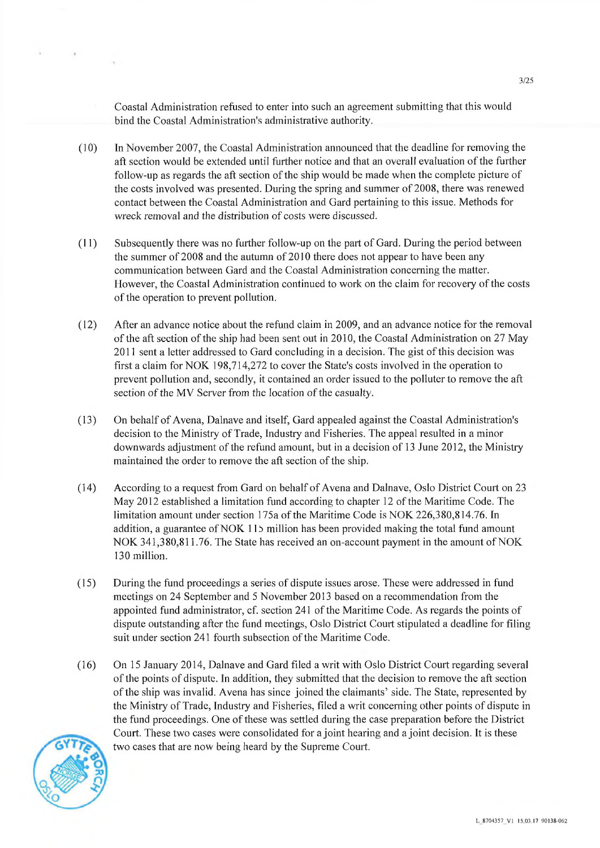Coastal Administration refused to enter into such an agreernent submitting that this would bind the Coastal Administration's administrative authority.

- (10) In November 2007, the Coastal Administration announced that the deadline for removing the aft section would be extended until further notice and that an overall evaluation of the further follow-up as regards the aft section of the ship would be made when the complete picture of the costs involved was presented. During the spring and summer of 2008, there was renewed contact between the Coastal Administration and Gard pertaining to this issue. Methods for wreck removal and the distribution of costs were discussed.
- (11) Subsequently there was no further follow-up on the part of Gard. During the period between the summer of 2008 and the autumn of 2010 there does not appear to have been any communication between Gard and the Coastal Administration concerning the matter. However, the Coastal Administration continued to work on the claim for recovery of the costs of the operation to prevent pollution.
- (12) After an advance notice about the refund claim in 2009, and an advance notice for the removal of the aft section of the ship bad been sent out in 2010, the Coastal Administration on 27 May 2011 sent a letter addressed to Gard concluding in a decision. The gist of this decision was first a claim for NOK 198,714,272 to cover the State's costs involved in the operation to prevent pollution and, secondly, it contained an order issued to the polluter to remove the aft section of the MV Server from the location of the casualty.
- (13) On behalf ofAvena, Dainave and itseif, Gard appealed against the Coastal Administration's decision to the Ministry of Trade, Industiy and Fisheries. The appeal resulted in a minor downwards adjustment of the refund amount, but in a decision of 13 June 2012, the Ministry maintained the order to remove the aft section of the ship.
- (14) According to a request from Gard on behalf of Avena and Dainave, Oslo District Court on 23 May 2012 established a limitation fund according to chapter 12 of the Maritime Code. The limitation amount under section 175a of the Maritime Code is NOK 226,380,814.76. In addition, a guarantee of NOK 115 million has been provided making the total fund amount NOK 341,380,811.76. The State has received an on-account payment in the amount of NOK 130 million.
- (15) During the fund proceedings a series of dispute issues arose. These were addressed in fund meetings on 24 September and *5* November 2013 based on a recommendation from the appointed fund administrator, cf. section 241 of the Maritime Code. As regards the points of dispute outstanding after the fund meetings, Oslo District Court stipulated a deadline for filing suit under section 241 fourth subsection of the Maritime Code.
- (16) On 15 January 2014, Dainave and Gard filed a writ with Oslo Distriet Court regarding several of the points of dispute. In addition, they submitted that the decision to remove the aft section of the ship was invalid. Avena has since joined the claimants' side. The State, represented by the Ministry of Trade, Industry and Fisheries, filed a writ concerning other points of dispute in the fund proceedings. One of these was settled during the case preparation before the District Court. These two cases were consolidated for a joint hearing and a joint decision. It is these two cases that are now being heard by the Supreme Court.

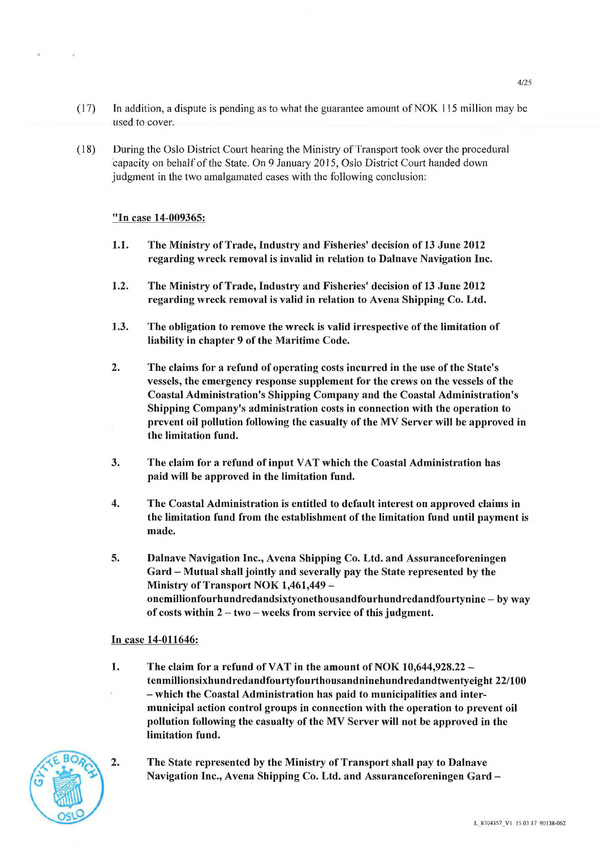- (17) In addition, a dispute is pending as to what the guarantee arnount of NOK 115 million may be used to cover.
- (18) During the Oslo Distriet Court hearing the Ministry of Transport took over the procedural capacity on behalf of the State. On 9 January 2015, Oslo District Court handed down judgment in the two amalgamated cases with the foliowing conclusion:

#### "In case 14-009365:

- 1.1. The Ministry of Trade, Industry and Fisheries' decision of 13 June 2012 regarding wreck removal is invalid in relation to Dainave Navigation Inc.
- 1.2. The Ministry of Trade, Industry and Fisheries' decision of 13 June 2012 regarding wreck removal is valid in relation to Avena Shipping Co. Ltd.
- 1.3. The obligation to remove the wreck is valid irrespective of the limitation of liability in chapter 9 of the Maritime Code.
- 2. The claims for a refund of operating costs incurred in the use of the State's vessels, the emergency response supplement for the crews on the vessels of the Coastal Administration's Shipping Company and the Coastal Administration's Shipping Company's administration costs in connection with the operation to prevent oil pollution foliowing the casualty of the MV Server will be approved in the limitation fund.
- 3. The claim for a refund of input VÅT which the Coastal Administration has paid will be approved in the limitation fund.
- 4. The Coastal Administration is entitled to default interest on approved claims in the limitation fund from the establishment of the limitation fund until payment is made.
- 5. Dainave Navigation Inc., Avena Shipping Co. Ltd. and Assuranceforeningen Gard - Mutual shall jointly and severally pay the State represented by the Ministry of Transport NOK 1,461,449 onemillionfourhundredandsixtyonethousandfourhundredandfourtynine - by way of costs within  $2 - two - weeks$  from service of this judgment.

#### In case 14-011646:

2

- 1. The claim for a refund of VAT in the amount of NOK 10,644,928.22 tenmillionsixhund redandfourtyfourthousandninehundredandtventyeight 22/100 - which the Coastal Administration has paid to municipalities and intermunicipal action control groups in connection with the operation to prevent oil pollution following the casualty of the MV Server will not be approved in the limitation fund.
- 2. The State represented by the Ministry of Transport shall pay to Dalnave Navigation Inc., Avena Shipping Co. Ltd. and Assuranceforeningen Gard -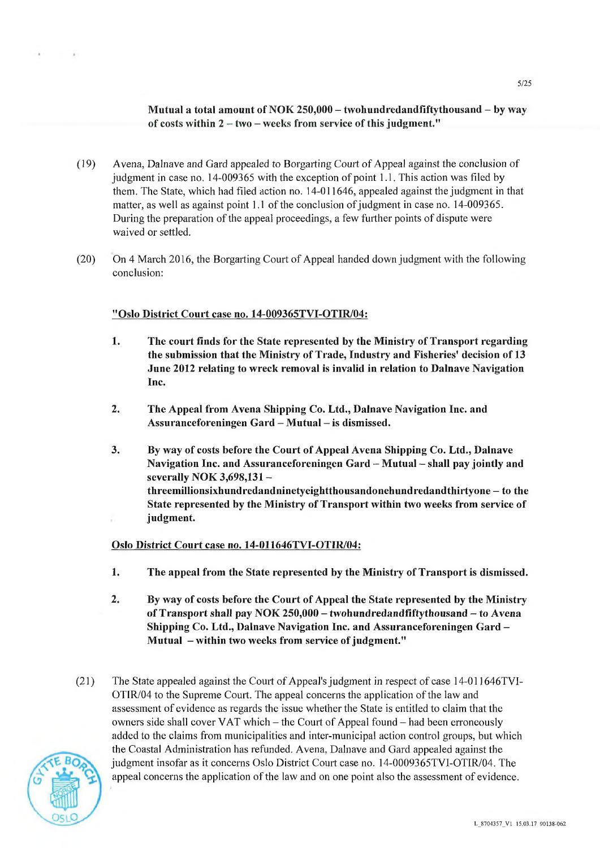## **Mutual a total amount of NOK 250,000** - **twohundredandfiftythousand** - **by way of costs** within 2 - two - **weeks from** service **of this judgrnent."**

- (19) Avena, Dalnave and Gard appealed to Borgarting Court of Appeal against the conclusion of judgment in case no.  $14-009365$  with the exception of point 1.1. This action was filed by them. The State, which had filed action no. 14-011646, appealed against the judgment in that matter, as well as against point 1.1 of the conclusion of judgment in case no. 14-009365. During the preparation of the appeal proceedings, a few further points of dispute were waived or settied.
- (20) On 4 March 2016, the Borgarting Court of Appeal handed down judgment with the foliowing conclusion:

## **"Oslo District Court case 00. 14-009365TV1-OTIIRI04:**

- **1. The court finds for the State represented by the Ministry of Transport regarding the submission that the Ministry of Trade, Industry and Fisheries' decision of 13 June 2012 relating to** wreck **removal is invalid in relation to Dalnave Navigation Inc.**
- **2. The Appeal from Avena Shipping Co. Ltd., Dalnave Navigation Inc. and Assuranceforeningen Gard** - **Mutual** - is dismissed.
- **3. By way of costs before the Court of Appeal Avena Shipping Co. Ltd., Dalnave Navigation Inc. and Assuranceforeningen Gard** - **Mutual** - **shall pay jointly and severally NOK 3,698,131 threemillionsixhundredandninetyeightthousandonehundredandthirtyone** - **to the State represented by the Ministry of Transport within** two **weeks from service of**  j**udgment.**

## Oslo District Court case no. 14-011646TVI-OTIR/04:

- **1. The appeal from the State represented by the Ministry of Transport is dismissed.**
- **2. By way of costs before the Court of Appeal the State represented by the Ministry of Transport shall pay NOK 250,000** - **twohundredandfiftythousand** - **to Avena Shipping Co. Ltd., Dalnave Navigation Inc. and Assuranceforeningen Gard** - **Mutual** - **within tvo weeks from service of judgment."**
- (21) The State appealed against the Court of Appeal'sjudgment in respeet of case 14-011646TV1- OTIRI04 to the Supreme Court. The appeal concerns the application of the law and assessrnent of evidence as regards the issue whether the State is entitled to claim that the owners side shall cover VAT which – the Court of Appeal found – had been erroneously added to the claims from municipalities and inter-municipal action control groups, but which the Coastal Administration has refunded. Avena, Dalnave and Gard appealed against the judgment insofar as it concerns Oslo District Court case no. 14-0009365TVI-OTIR/04. The judgment insofar as it concerns Oslo District Court case no. 14-0009365TVI-OTIR/04. The appeal concerns the application of the law and on one point also the assessment of evidence.

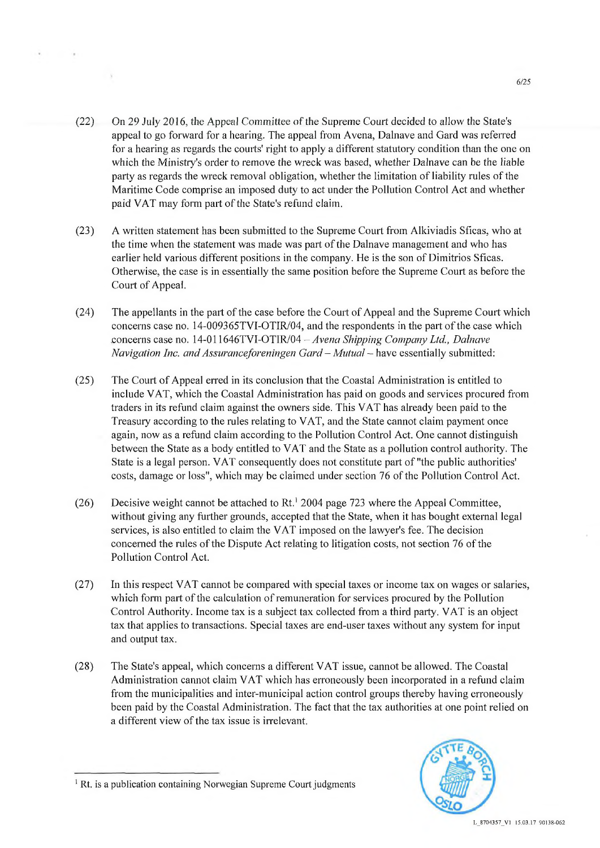- (22) On 29 July 2016, the Appeal Cornmittee of the Supreme Court decided to allow the State's appeal to go forward for a hearing. The appeal from Avena, Datnave and Gard was referred for a hearing as regards the courts' right to apply a different statutory condition than the one on which the Ministry's order to remove the wreck was based, whether Dalnave can be the liable party as regards the wreck removal obligation, whether the limitation of liability rules of the Maritime Code comprise an imposed duty to act under the Pollution Control Act and whether paid VAT may form part of the State's refund claim.
- (23) A written statement has been submitted to the Supreme Court from Alkiviadis Sficas, who at the time when the statement was made was part of the Dalnave management and who has earlier held various different positions in the company. He is the son of Dimitrios Sficas. Otherwise, the case is in essentially the same position before the Supreme Court as before the Court of Appeal.
- (24) The appellants in the part of the case before the Court of Appeal and the Supreme Court which concerns case no. 14-009365TV1-OTIR/04, and the respondents in the part of the case which concerns case no. 14-01 1646TV1-OTIRIO4 *—A vena Shipping Company Ltd., Da/nave Navigation Inc. and Assuranceforeningen Gard – Mutual – have essentially submitted:*
- (25) The Court of Appeal erred in its conclusion that the Coastal Administration is entitled to include VAT, which the Coastal Administration has paid on goods and services procured from traders in its refund claim against the owners side. This VAT has already been paid to the Treasury according to the rules relating to VAT, aud the State cannot claim payment once again, now as a refund claim according to the Pollution Control Act. One cannot distinguish between the State as a body entitled to VAT and the State as a pollution control authority. The State is a legal person. VAT consequently does not constitute part of "the public authorities' costs, damage or loss", which may be claimed under section 76 of the Pollution Control Act.
- (26) Decisive weight cannot be attached to Rt.' 2004 page 723 where the Appeal Committee, without giving any further grounds, accepted that the State, when it has bought external legal services, is also entitled to claim the VAT imposed on the lawyer's fee. The decision concerned the rules of the Dispute Act relating to litigation costs, not section 76 of the Pollution Control Act.
- (27) In this respect VAT cannot be compared with special taxes or income tax on wages or salaries, which form part of the caleulation of remuneration for services procured by the Pollution Control Authority. Income tax is a subject tax collected from a third party. VAT is an object tax that applies to transactions. Special taxes are end-user taxes without any system for input and output tax.
- (28) The State's appeal, which concerns a different VAT issue, cannot be allowed. The Coastal Administration cannot claim VAT which has erroneously been incorporated in a refund claim from the municipalities and inter-municipal action control groups thereby having erroneously been paid by the Coastal Administration. The fact that the tax authorities at one point relied on a different view of the tax issue is irrelevant.



 $1$  Rt. is a publication containing Norwegian Supreme Court judgments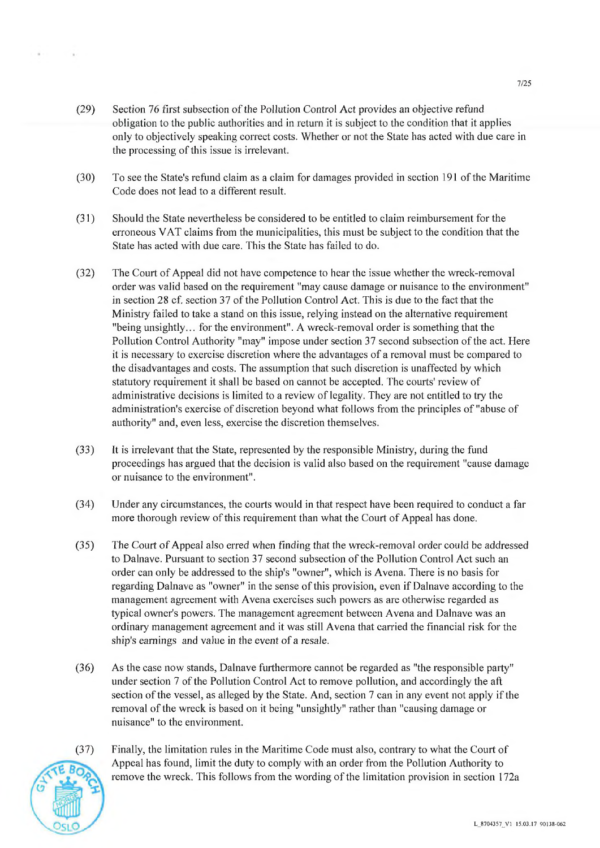- (29) Section 76 first subsection of the Pollution Control Act provides an objective refund obligation to the public authorities and in return it is subject to the condition that it applies only to objectively speaking correct costs. Whether or not the State has acted with due care in the processing of this issue is irrelevant.
- (30) To see the State's refund claim as a claim for damages provided in section 191 of the Maritime Code does not lead to a different result.
- (31) Should the State nevertheless be considered to be entitled to claim reimbursement for the erroneous VAT claims from the municipalities, this must be subject to the condition that the State has acted with due care. This the State has failed to do.
- (32) The Court of Appeal did not have competence to hear the issue whether the wreck-removal order was valid based on the requirement 'may cause damage or nuisance to the environment" in section 28 cf. section 37 of the Pollution Control Act. This is due to the fact that the Ministry failed to take a stand on this issue, relying instead on the alternative requirement "being unsightly... for the environment". A wreck-removal order is something that the Pollution Control Authority "may" impose under section 37 second subsection of the act. Here it is necessary to exercise discretion where the advantages of a removal must be compared to the disadvantages and costs. The assumption that such discretion is unaffected by which statutory requirement it shall be based on cannot be accepted. The courts' review of administrative decisions is limited to a review of legality. They are not entitled to try the administration's exercise of discretion beyond what foliows from the principles of "abuse of authority" and, even less, exercise the discretion themselves.
- (33) It is irrelevant that the State, represented by the responsible Ministry, during the fund proceedings has argued that the decision is valid also based on the requirement "cause damage or nuisance to the environment".
- (34) Under any circurnstances, the courts would in that respect have been required to conduct a far more thorough review of this requirement than what the Court of Appeal has done.
- (35) The Court of Appeal also erred when finding that the wreck-rernoval order could be addressed to Dainave. Pursuant to section 37 second subsection of the Pollution Control Act such an order can only be addressed to the ship's "owner", which is Avena. There is no basis for regarding Dalnave as "owner" in the sense of this provision, even if Dalnave according to the management agreement with Avena exercises such powers as are otherwise regarded as typical owner's powers. The management agreement between Avena and Dainave was an ordinary management agreement and it was stil! Avena that carried the financial risk for the ship's earnings and value in the event of a resale.
- (36) As the case now stands, Dainave furthermore cannot be regarded as "the responsible party" under section 7 of the Pollution Control Act to remove pollution, and aceordingly the aft section of the vessel, as alleged by the State. And, section 7 can in any event not apply if the removal of the wreck is based on it being "unsightly" rather than "causing damage or nuisance" to the environment.



(37) Finally, the limitation rules in the Maritime Code must also, contrary to what the Court of Appeal has found, limit the duty to comply with an order from the Pollution Authority to remove the wreck. This foliows from the wording of the limitation provision in section 172a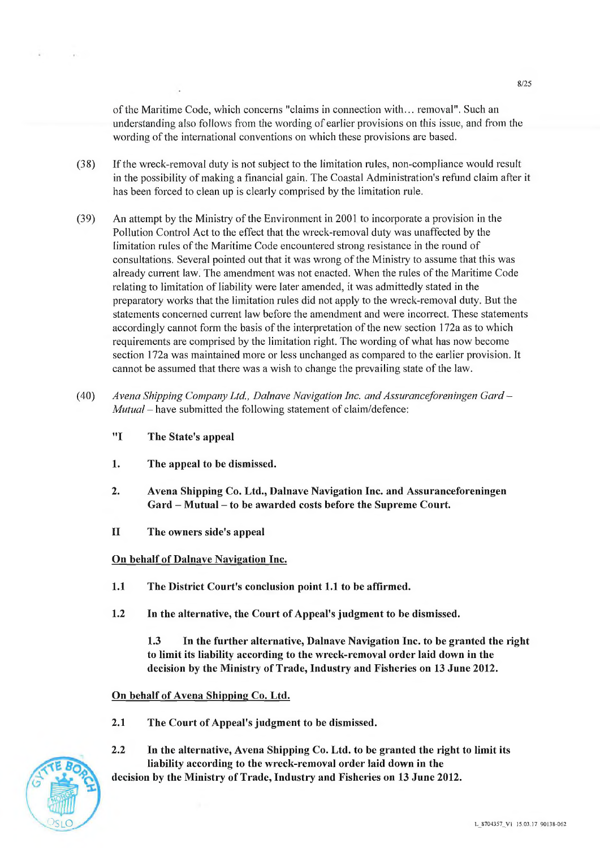of the Maritime Code, which concerns "claims in connection with... removal". Such an undcrstanding also foliows from the wording of earlier provisions on this issie, and from the wording of the international conventions on which these provisions are based.

- (38) If the wreck-removal duty is not subject to the limitation rules, non-compliance would result in the possibility of making a financial gain. The Coastal Administration's refund claim after it has been forced to clean up is clearly comprised by the limitation rule.
- (39) An attempt by the Ministry of the Environment in 2001 to incorporate a provision in the Pollution Control Act to the effect that the wreck-removal duty was unaffeeted by the limitation rules of the Maritime Code encountered strong resistance in the round of consultations. Several pointed out that it was wrong of the Ministry to assume that this was already durrent law. The amendment was not enacted. When the rules of the Maritime Code relating to limitation of liability were later amended, it was admiftedly stated in the preparatory works that the limitation rules did not apply to the wreck-removal duty. But the statements concerned current law before the amendment and were incorrect. These statements accordingly cannot form the basis of the interpretation of the new section 172a as to which requirements are comprised by the limitation right. The wording of what has now become seetion 172a was maintained more or less unchanged as compared to the earlier provision. It cannot be assumed that there was a wish to change the prevailing state of the law.
- *(40) Avena Shipping Company Ltd., Dalnave Navigation Inc. and Assuranceforeningen Gard -Mutual* – have submitted the following statement of claim/defence:
	- **"I The State's appeal**
	- **1. The appeal to be dismissed.**
	- **2. Avena Shipping Co. Ltd., Dainave Navigation Inc. and Assuranceforeningen Gard** - **Mutual** - **to be awarded costs before the Supreme Court.**
	- **II The owners side's appeal**

#### **On behalf of Dainave Navigation Inc.**

- **1.1 The District Court's conclusion point 1.1 to be affirmed.**
- **1.2** In the alternative, the Court of Appeal's judgment to be dismissed.

**1.3 In the further alternative, Dainave Navigation Inc. to be granted the right to limit its liability according to the wreck-removal order laid down in the decision by the Ministry of Trade, Industry and Fisheries on 13 June 2012.** 

#### **On behalf of Avena Shipping Co. Ltd.**

**lo** 

 $\overline{\phantom{a}}$ 

- **2.1** The Court of Appeal's judgment to be dismissed.
- 2.2 **In the alternative, Avena Shipping Co. Ltd. to be granted the right to limit its liability according to the wreck-removal order laid down in the /4. decision by the Ministry of Trade, Industry and Fisheries on 13 June 2012.**

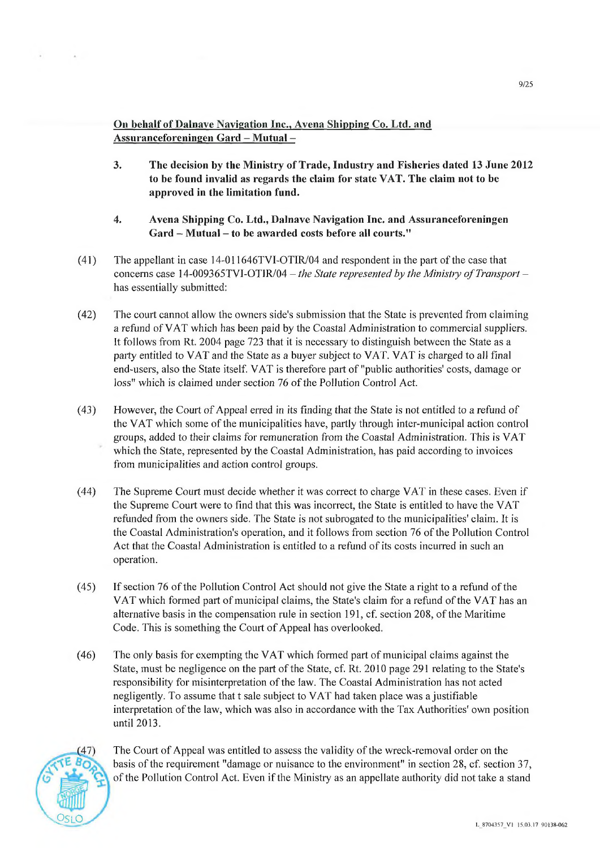## **On behalf of Dalnave Navigation Inc., Avena Shipping Co. Ltd. and Assuranceforeningen Gard** - **Mutual** -

- **3. The decision by the Ministry of Trade, Industry and Fisheries ciated 13 June 2012 to be found invalid as regards the claim for state VAT. The claim not to be approved** in **the limitation fund.**
- **4. Avena Shipping Co. Ltd., Dainave Navigation Inc. and Assuranceforeningen Gard** - **Mutual** - **to be awarded costs before all courts."**
- **(41) The** appellant in case 14-011 646TV1-OTIR!04 aud respondent in the part of the case that *concerns case 14-009365TV1-OTIRI04* - *the State represented by the Ministiy of Transport*  has essentially submifted:
- (42) The court cannot allow the owners side's submission that the State is prevented from clairning a refund of VAT which has been paid by the Coastal Administration to commercial suppliers. It foliows from Rt. 2004 page 723 that it is necessary to distinguish between the State as a party entitled to VAT and the State as a buyer subject to VAT. VAT is charged to all final end-users, also the State itseif. VAT is therefore part of "public authorities' costs, damage or loss" which is claimed under section 76 of the Pollution Control Act.
- (43) However, the Court of Appeal erred in its finding that the State is **not** entitled to a refund of the VAT which some of the municipalities have, partly through inter-municipal action control groups, added to their claims for remuneration from the Coastal Administration. This is VAT which the State, represented by the Coastal Administration, has paid according to invoices from municipalities and action control groups.
- (44) The Supreme Court must decide whether it was correct to charge VAT in these cases. Even if the Supreme Court were to find that this was incorrect, the State is entitled to have the VAT refunded from the owners side. The State is not subrogated to the municipalities' claim. It is the Coastal Administration's operation, and it foliows from section 76 of the Pollution Control Act that the Coastal Administration is entitled to a refund of its costs incurred in such an operation.
- (45) If section 76 of the Pollution Control Act should not give the State a right to a refund of the VAT which formed part of municipal claims, the State's claim for a refund of the VAT has an alternative basis in the compensation rule in section 191, cf. section 208, of the Maritime Code. This is something the Court of Appeal has overlooked.
- (46) The only basis for exempting the VAT which formed part of municipal claims against the State, must be negligence on the part of the State, cf. Rt. 2010 page 291 relating to the State's responsibility for misinterpretation of the law. The Coastal Administration has not acted negligently. To assume that **t** sale subject to VAT had taken place was ajustifiable interpretation of the law, which was also in accordance with the Tax Autborities' own position until 2013.



(47) The Court of Appeal was entitled to assess the validity of the wreck-removal order on the basis of the requirement "damage or nuisance to the environment" in section 28, cf. section 37, of the Pollution Control Act. Even if the Ministry as an appellate authority did not take a stand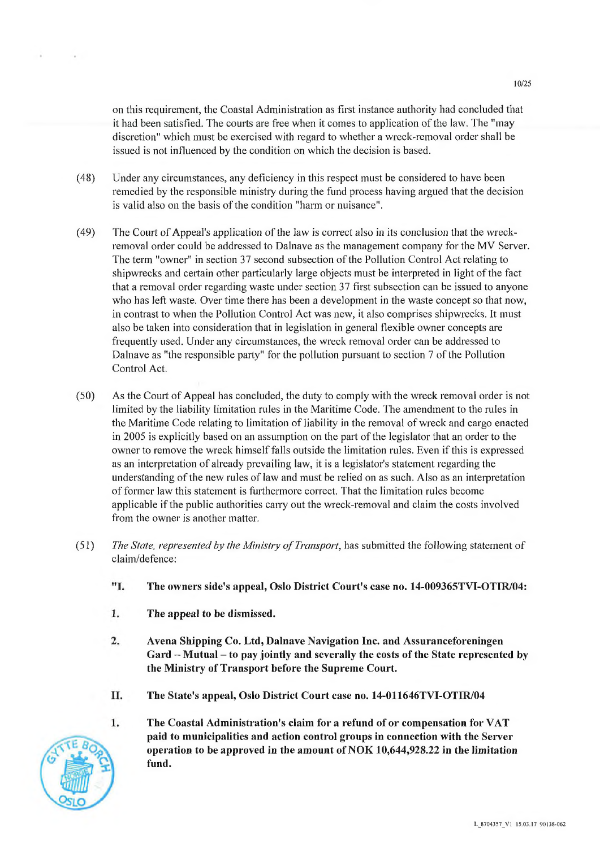on this requirement, the Coastal Administration as first instance authority bad concluded that it had been satisfied. The courts are free when it comes to application of the law. The "may discretion" which must be exercised with regard to whether a wreck-removal ordet shall be issued is not influenced by the condition on which the decision is based.

- (48) Under any circurnstances, any deficiency in this respect must be considered to have been remedied by the responsible ministry during the fund process having argued that the decision is valid also on the basis of the condition "harm or nuisance".
- (49) The Court of Appeal's application of the law is correct also in its conclusion that the wreckremoval ordet could be addressed to Dalnave as the management company for the MV Server. The term "owner" in section 37 second subsection of the Pollution Control Act relating to shipwrecks and certain other particularly large objects must be interpreted in light of the fact that a removal order regarding waste under section 37 first subsection can be issued to anyone who has left waste. Over time there has been a development in the waste coneept so that now, in contrast to when the Pollution Control Act was new, it also comprises shipwrecks. It must also be taken into consideration that in legislation in general flexible owner concepts are frequently used. Under any circumstances, the wreck removal order can be addressed to Dalnave as "the responsible party" for the pollution pursuant to section 7 of the Pollution Control Act.
- (50) As the Court of Appeal has concluded, the duty to comply with the wreck removal order is not limited by the liability limitation rules in the Maritime Code. The amendrnent to the rules in the Maritime Code relating to limitation of liability in the removal of wreck and cargo enacted in 2005 is explicitly based on an assumption on the part of the legislator that an order to the owner to remove the wreck himseiffalis outside the limitation rules. Even ifthis is expressed as an interpretation of already prevailing law, it is a legislator's statement regarding the understanding of the new rules of law and must be relied on as such. Also as an interpretation of former law this statement is furthermore correct. That the limitation rules become applicable if the public authorities carry out the wreck-removal and claim the costs involved from the owner is another matter.
- *(51) The State, represented by the Ministry of Transport, has submitted the following statement of* claim/defence:
	- "I. **The owners side's appeal, Oslo District Court's case no. 14-009365TV1-OTIIRI04:**
	- **1. The appeal to be dismissed.**

 $\int$ 

đ

**OSLO** 

- **2. Avena Shipping Co. Ltd, Dalnave Navigation Inc. and Assuranceforeningen Gard** - **Mutual** - **to pay jointly and severally the costs of the State represented by the Ministry of Transport before the Supreme Court.**
- **II.** The State's appeal, Oslo District Court case no. 14-011646TVI-OTIR/04
- **1. The Coastal Administration's claim for a refund of or compensation for VAT paid to municipalities and action control groups in connection with the Server operation to be approved in the amount of NOK 10,644,928.22 in the limitation fund.**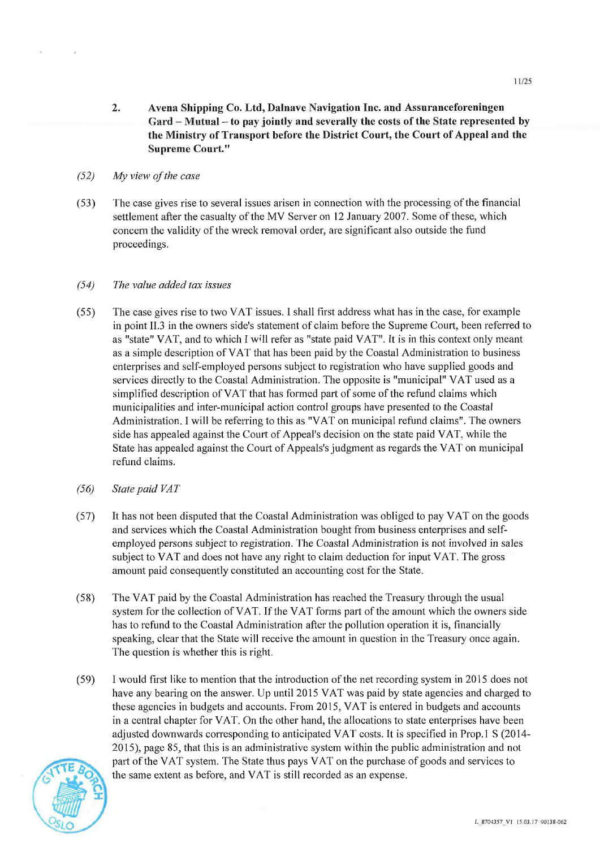- **2. Avena Shipping Co. Ltd, Dainave Navigation Inc. and Assuranceforeningen Gard** - **Mutual** - **to pay jointly and severally the costs of the State represented by the Ministry of Transport before the District Court, the Court of Appeal and the Supreme Court."**
- *(52) My view of the case*
- (53) The case gives rise to several issues arisen in connection with the processing of the financial settlement after the casualty of the MV Server on 12 January 2007. Some of these, which concern the validity of the wreck removal order, are significant also outside the fund proceedings.

#### *(54) The vaiue added fax issues*

- (55) The case gives rise to two VÅT issues. I shall first address what has in the case, for example in point II.3 in the owners side's statement of claim before the Supreme Court, been referred to as "state" VAT, and to which I will refer as "state paid VAT". It is in this context only meant as a simple description of VÅT that has been paid by the Coastal Administration to business enterprises and self-employed persons subject to registration who have supplied goods and services directly to the Coastal Administration. The opposite is "municipal" VAT used as a simplified description of VAT that has formed part of some of the refund claims which municipalities and inter-municipal action control groups have presented to the Coastal Administration. I will be referring to this as "VAT on municipal refund claims". The owners side has appealed against the Court of Appeal's decision on the state paid VÅT, while the State has appealed against the Court of Appeals's judgment as regards the VAT on municipal refund claims.
- *(56) State paid VA*
- (57) It has not been disputed that the Coastal Administration was obliged to pay VÅT on the goods and services which the Coastal Administration bought from business enterprises and seifemployed persons subject to registration. The Coastal Administration is not involved in sales subject to VAT and does not have any right to claim deduction for input VAT. The gross amount paid consequently constituted an accounting cost for the State.
- (58) The VÅT paid by the Coastal Administration has reached the Treasury through the usual system for the collection of VAT. If the VAT forms part of the amount which the owners side has to refund to the Coastal Administration after the pollution operation it is, financially speaking, clear that the State will receive the amount in question in the Treasury once again. The question is whether this is right.
- (59) I would first like to mention that the introduetion of the net recording system in 2015 does not have any bearing on the answer. Up until 2015 VAT was paid by state agencies and charged to these agencies in budgets and accounts. From 2015, VAT is entered in budgets and accounts in a central chapter for VAT. On the other hand, the allocations to state enterprises have been adjusted downwards corresponding to anticipated VÅT costs. It is specified in Prop.1 5 (2014- 2015), page 85, that this is an administrative system within the public administration and not part of the VÅT system. The State thus pays VÅT on the purchase of goods and services to the same extent as before, and VÅT is still recorded as an expense.

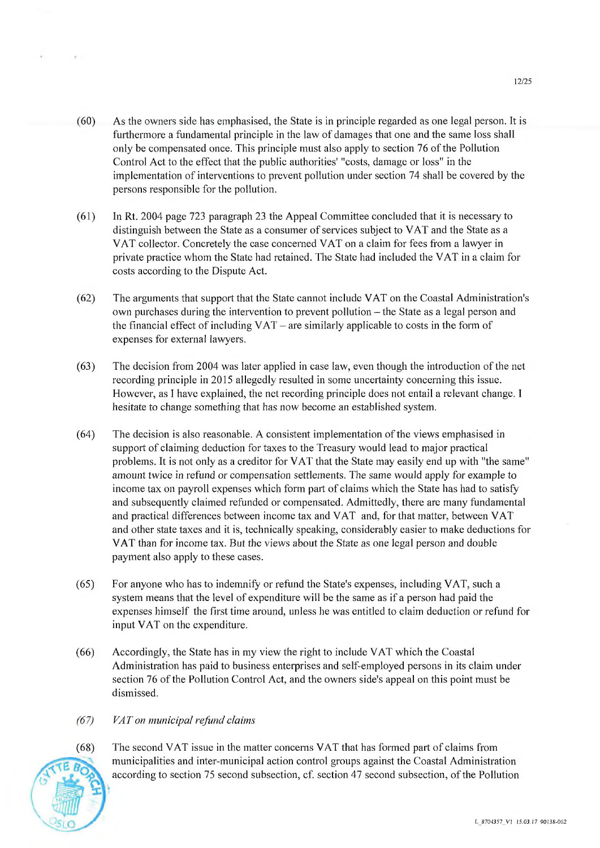- (60) As the owners side has eniphasised, the State is in principle regarded as one legal person. It is furthermore a fundamental principle in the law of damages that one and the same loss shall only be compensated once. This principle must also apply to section 76 of the Pollution Control Act to the effect that the public authorities' "costs, damage or loss" in the implementation of interventions to prevent pollution under section 74 shall be covered by the persons responsible for the pollution.
- (61) In Rt. 2004 page 723 paragraph 23 the Appeal Comrnittee concluded that it is necessary to distinguish between the State as a consumer of services subject to VAT and the State as a VÅT collector. Concretely the case concerned VÅT on a claim for fees from a lawyer in private practice whom the State had retained. The State bad included the VÅT in a claim for costs according to the Dispute Act.
- (62) The arguments that support that the State cannot include VÅT on the Coastal Administration's own purchases during the intervention to prevent pollution - the State as a legal person and the financial effect of including  $VAT$  – are similarly applicable to costs in the form of expenses for external lawyers.
- (63) The decision from 2004 was later applied in case law, even though the introduction of the net recording principle in 2015 allegedly resulted in some uncertainty concerning this issue. However, as I have explained, the net recording principle does not entail a relevant change. I hesitate to change something that has now become an established system.
- (64) The decision is also reasonable. A consistent implementation of the views emphasised in support of claiming deduction for taxes to the Treasury would lead to major praetical problems. It is not only as a creditor for VAT that the State may easily end up with "the same" amount twice in refund or compensation settlements. The same would apply for example to income tax on payroll expenses which form part of claims which the State has had to satisfy and subsequently claimed refunded or compensated. Admittedly, there are many fundamental and practical differences between income tax and VAT and, for that matter, between VAT and other state taxes and it is, technically speaking, considerably easier to make deductions for VÅT than for income tax. But the views about the State as one legal person and double payment also apply to these cases.
- (65) For anyone who has to indemnify or refund the State's expenses, including VÅT, such a system means that the level of expenditure will be the same as if a person bad paid the expenses himseif the first time around, unless he was entitled to claim deduction or refund for input VÅT on the expenditure,
- (66) Accordingly, the State has in my view the right to include VÅT which the Coastal Administration has paid to business enterprises and self-employed persons in its claim under section 76 of the Pollution Control Act, and the owners side's appeal on this point must be dismissed.

## *(67) VAT on municipal refund claims*

(68) The second VÅT issue in the matter concerns VÅT that has formed part of claims from municipalities and inter-municipal action control groups against the Coastal Administration according to section 75 second subsection, cf. section 47 second subsection, of the Pollution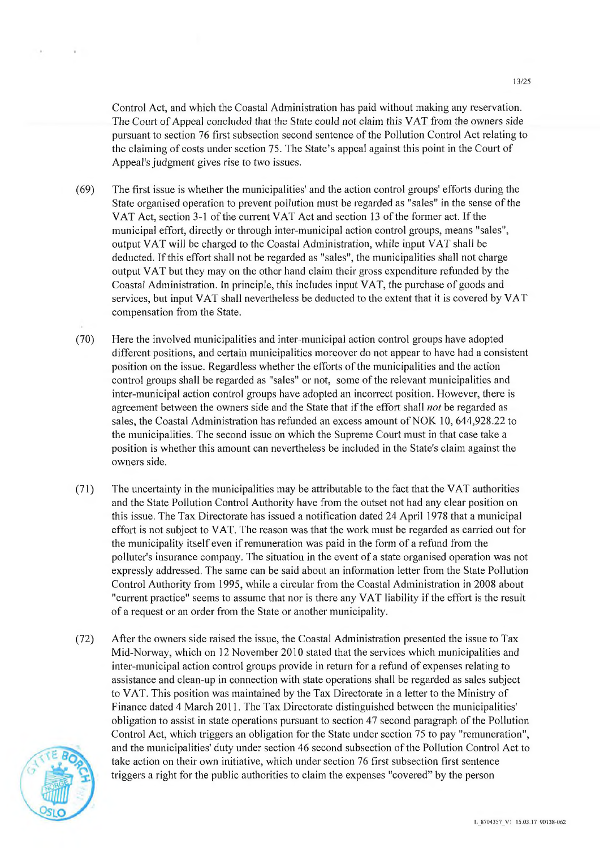Control Act, and which the Coastal Administration has paid without making any reservation. The Court of Appeal concluded that the State could not claim this VAT from the owners side pursuant to section 76 first subsection second sentence of the Pollution Control Act relating to the claiming of costs under section 75. The State's appeal against this point in the Court of Appeal's judgment gives rise to two issues.

- (69) The first issue is whether the municipalities' and the action control groups' efforts during the State organised operation to prevent pollution must be regarded as "sales" in the sense of the VAT Act, section 3-1 of the current VAT Act and section 13 of the former act. If the municipal effort, directly or through inter-municipal action control groups, means "sales", output VAT will be charged to the Coastal Administration, while input VAT shall be deducted. ff this effort shall not be regarded as "sales", the municipalities shall not charge output VAT but they may on the other hand claim their gross expenditure refunded by the Coastal Administration. In principle, this includes input VAT, the purchase of goods and services, but input VAT shall nevertheless be deducted to the extent that it is covered by VAT compensation from the State.
- (70) Here the involved municipalities and inter-municipal action control groups have adopted different positions, and certain municipalities moreover do not appear to have had a consistent position on the issue. Regardiess whether the efforts of the municipalities and the action control groups shall be regarded as "sales" or not, some of the relevant municipalities and inter-municipal action control groups have adopted an incorrect position. However, there is agreement between the owners side and the State that if the effort shall *not* be regarded as sales, the Coastal Administration has refunded an excess amount of NOK 10, 644,928.22 to the municipalities. The second issue on which the Supreme Court must in that case take a position is whether this arnount can nevertheless be included in the State's claim against the owners side.
- (71) The uncertainty in the municipalities may be attributable to the fact that the VAT authorities and the State Pollution Control Authority have from the outset not bad any elear position on this issue. The Tax Directorate has issued a notification dated 24 April 1978 that a municipal effort is not subject to VAT. The reason was that the work must be regarded as carried out for the municipality itseif even if remuneration was paid in the form of a refund from the polluter's insurance company. The situation in the event of a state organised operation was not expressly addressed. The same can be said about an information letter from the State Pollution Control Authority from 1995, while a circular from the Coastal Administration in 2008 about "durrent practice" seems to assume that nor is there any VAT liability ifthe effort is the result of a request or an order from the State or another municipality.
- (72) After the owners side raised the issue, the Coastal Administration presented the issue to Tax Mid-Norway, which on 12 November 2010 stated that the services which municipalities and inter-municipal action control groups provide in return for a refund of expenses relating to assistance and clean-up in connection with state operations shall be regarded as sales subject to VAT. This position was rnaintained by the Tax Directorate in a letter to the Ministry of Finance dated 4 March 2011. The Tax Directorate distinguished between the municipalities' obligation to assist in state operations pursuant to section 47 second paragraph of the Pollution Control Act, which triggers an obligation for the State under section 75 to pay "remuneration", and the municipalities' duty under section 46 second subsection of the Pollution Control Act to take action on their own initiative, which under section 76 first subsection first sentence , triggers a right for the public authorities to claim the expenses "covered" by the person

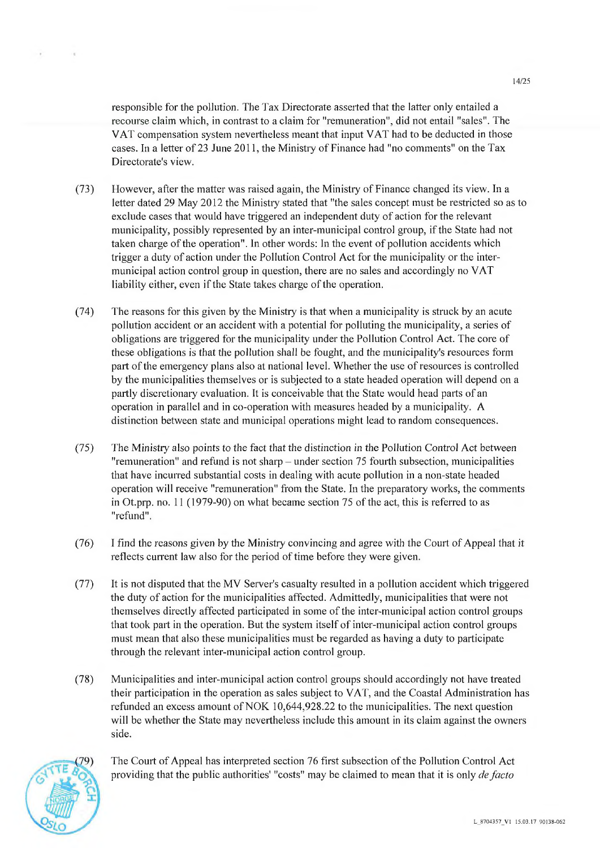responsible for the pollution. The Tax Directorate asserted that the latter only entailed a recourse claim which, in contrast to a claim for 'remuneration', did not entail "sales". The VAT compensation system nevertheless meant that input VAT had to be deducted in those cases. In a letter of 23 June 2011, the Ministry of Finance had "no comments" on the Tax Directorate's view.

- (73) However, after the matter was raised again, the Ministry ofFinance changed its view. In a letter dated 29 May 2012 the Ministry stated that "the sales concept must be restricted so as to exclude cases that would have triggered an independent duty of action for the relevant municipality, possibly represented by an inter-municipal control group, if the State had not taken charge of the operation". In other words: In the event of pollution accidents which trigger a duty of action under the Pollution Control Act for the municipality or the intermunicipal action control group in question, there are no sales and accordingly no VAT liability either, even if the State takes charge of the operation.
- (74) The reasons for this given by the Ministry is that when a municipality is struck by an acute pollution accident or an accident with a potential for polluting the municipality, a series of obligations are triggered for the municipality under the Pollution Control Act. The core of these obligations is that the pollution shall be fought, and the municipality's resources form part of the emergency plans also at national level. Whether the use of resources is controlled by the municipalities themselves or is subjected to a state headed operation will depend on a partly discretionary evaluation. It is conceivable that the State would head parts of an operation in parallel and in co-operation with measures headed by a municipality. A distinction between state aud municipal operations might lead to random consequences.
- (75) The Ministry also points to the fact that the distinction in the Pollution Control Act between "remuneration" and refund is not sharp - under section 75 fourth subsection, municipalities that have incurred substantial costs in dealing with acute pollution in a non-state headed operation will receive "remuneration" from the State. In the preparatory works, the comments in Ot.prp. no. 11(1979-90) on what becarne section *75* of the act, this is referred to as "refund".
- (76) I find the reasons given by the Ministry convincing and agree with the Court of Appeal that it reflects current Iaw also for the period of time before they were given.
- (77) It is not disputed that the MV Server's casualty resulted in a pollution accident which triggered the duty of action for the municipalities affected. Admittedly, municipalities that were not themselves directly affected participated in sorne of the inter-municipal action control groups that took part in the operation. But the system itseif of inter-municipal action control groups must mean that also these municipalities **must** be regarded as having a duty to participate through the relevant inter-municipal action control group.
- (78) Municipalities and inter-municipal action control groups should accordingly not have treated their participation in the operation as sales subject to VAT, and the Coastal Administration has refunded an excess amount of NOK 10,644,928.22 to the municipalities. The next question will be whether the State may nevertheless include this **amount** in its claim against the owners side.



The Court of Appeal has interpreted section 76 first subsection of the Pollution Control Act providing that the public authorities' "costs" may be claimed to mean that it is only *de facto*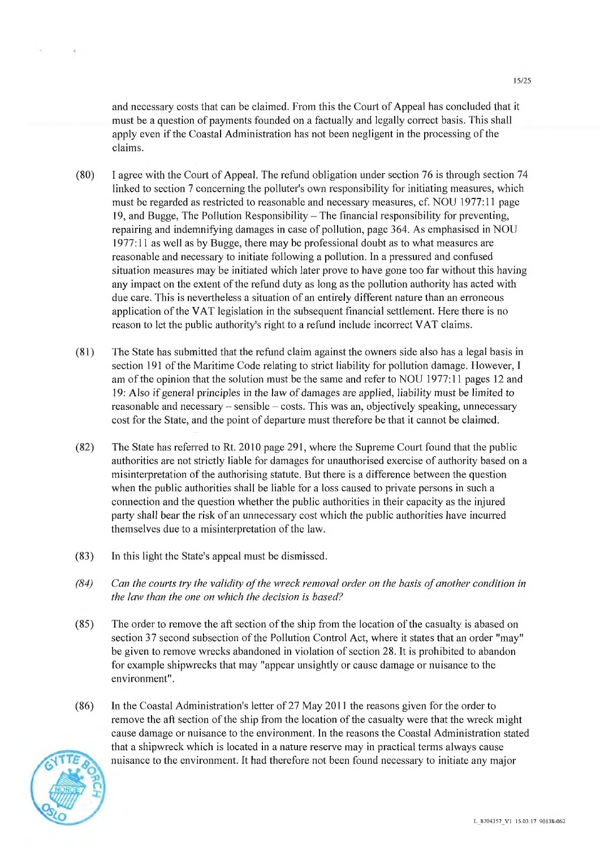and necessary costs that can be claimed. From this the Court of Appeal has concluded that it must be a question of payments founded on a factually and legally correct basis. This shall apply even ifthe Coastal Administration has not been negligent in the processing of the claims.

- (80) I agree with the Court of Appeal. The refund obligation under section 76 is through section 74 linked to section 7 concerning the polluter's own responsibility for initiating measures, which must be regarded as restricted to reasonable and necessary measures, cf. NOU 1977:11 page 19, and Bugge, The Pollution Responsibility – The financial responsibility for preventing, repairing and indemnifying damages in case of pollution, page 364. As emphasised in NOU 1977:11 as well as by Bugge, there may be professional doubt as to what measures are reasonable and necessary to initiate following a pollution. In a pressured and confused situation measures may be initiated which later prove to have gone too far without this having any impact on the extent of the refund duty as long as the pollution authority has acted with due care. This is nevertheless a situation of an entirely different nature than an erroneous application of the VAT legislation in the subsequent financial settlement. Here there is no reason to let the public authority's right to a refund include incorrect VAT claims.
- (81) The State has submitted that the refund claim against the owners side also has a legal basis in section 191 of the Maritime Code relating to strict liability for pollution damage. However, I am of the opinion that the solution must be the same aud refer to NOU 1977:11 pages 12 and 19: Also if general principles in the law of damages are applied, liability must be limited to reasonable and necessary  $-$  sensible  $-$  costs. This was an, objectively speaking, unnecessary cost for the State, and the point of departure must therefore be that it cannot be claimed.
- (82) The State has referred to Rt. 2010 page 291, where the Supreme Court found that the public authorities are not strictly liable for damages for unauthorised exercise of authority based on a misinterpretation of the authorising statute. But there is a difference between the question when the public authorities shall be liable for a loss caused to private persons in such a connection and the question whether the public authorities in their capacity as the injured party shall bear the risk of an unnecessary cost which the public authorities have incurred themselves due to a misinterpretation of the law.
- (83) In this light the State's appeal must be dismissed.
- *(84) Can the* courts by the *validity* of the *wreck* reinoval order *on* the *basis* ofanother condition *in the iaw than the one on which the decision is based?*
- (85) The order to remove the aft section of the ship from the location of the casualty is abased on section 37 second subsection of the Pollution Control Act, where it states that an order "may" be given to remove wrecks abandoned in violation of section 28. It is prohibited to abandon for example shipwrecks that may "appear unsightly or cause damage or nuisance to the environment".
- (86) In the Coastal Administration's letter of 27 May 2011 the reasons given for the order to remove the aft section of the ship from the location of the casualty were that the wreck might cause damage or nuisance to the environment. 111 the reasons the Coastal Administration stated that a shipwreck which is located in a nature reserve may in practical terms always cause **41T** nuisance to the environment. It had therefore not been found necessary to initiate any major

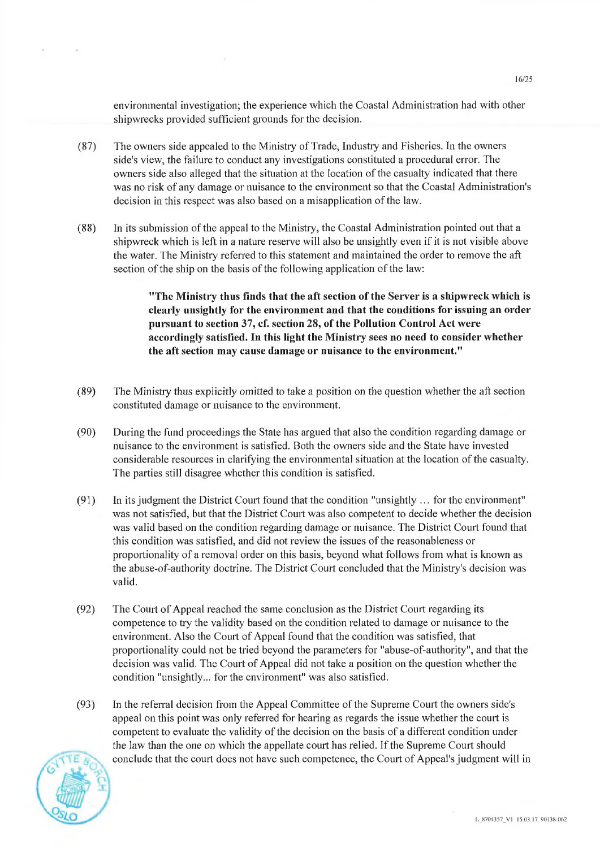environmental investigation; the experience which the Coastal Administration had with other shipwrecks provided sufficient grounds for the decision.

- (87) The owners side appealed to the Ministry of Trade, Industiy and Fisheries. In the owners side's view, the failure to conduct any investigations constituted a procedural error. The owners side also alleged that the situation at the location of the casualty indicated that there was no risk of any damage or nuisance to the environment so that the Coastal Administration's decision in this respect was also based on a misapplication of the law.
- (88) In its subrnission of the appeal to the Ministry, the Coastal Administration pointed out that a shipwreck which is left in a nature reserve will also be unsightly even if it is not visible above the water. The Ministry referred to this staternent and maintained the order to remove the aft section of the ship on the basis of the foliowing application of the law:

**"The Ministry thus finds that the aft section of the Server is a shipwreck which is cleariy unsightly for the environment and that the conditions for issuing an order pursuant to section 37, cf. section 28, of the Pollution Control Act were accordingly satisfied. In this light the Ministry sees no need to consider whether the aft section may cause damage or nuisance to the environment."** 

- (89) The Ministry thus explicitly omitted to take a position on the question whether the aft section constituted damage or nuisance to the environment.
- (90) During the fund proceedings the State has argued that also the condition regarding damage or nuisance to the environment is satisfied. Both the owners side and the State have invested considerable resources in clarifying the environmental situation at the location of the casualty. The parties still disagree whether this condition is satisfied.
- (91) In its judgment the District Court found that the condition "unsightly ... for the environment" was not satisfied, but that the District Court was also competent to decide whether the decision was valid based on the condition regarding damage or nuisance. The District Court found that this condition was satisfied, and did not review the issues of the reasonableness or proportionality of a removal order on this basis, beyond what foliows from what is known as the abuse-of-authority doctrine. The District Court concluded that the Ministry's decision was valid.
- (92) The Court of Appeal reached the same conclusion as the District Court regarding its competence to try the validity based on the condition related to damage or nuisance to the environment. Also the Court of Appeal found that the condition was satisfied, that proportionality could not be tried beyond the parameters for "abuse-of-authority", and that the decision was valid. The Court of Appeal did not take a position on the question whether the condition "unsightly... for the environment" was also satisfied.
- (93) In the referral decision from the Appeal Comrnittee of the Supreme Court the owners side's appeal on this point was only referred for hearing as regards the issue whether the court is competent to evaluate the validity of the decision on the basis of a different condition under the law than the one on which the appellate court has relied. If the Supreme Court should conclude that the court does not have such competence, the Court of Appeal's judgment will in

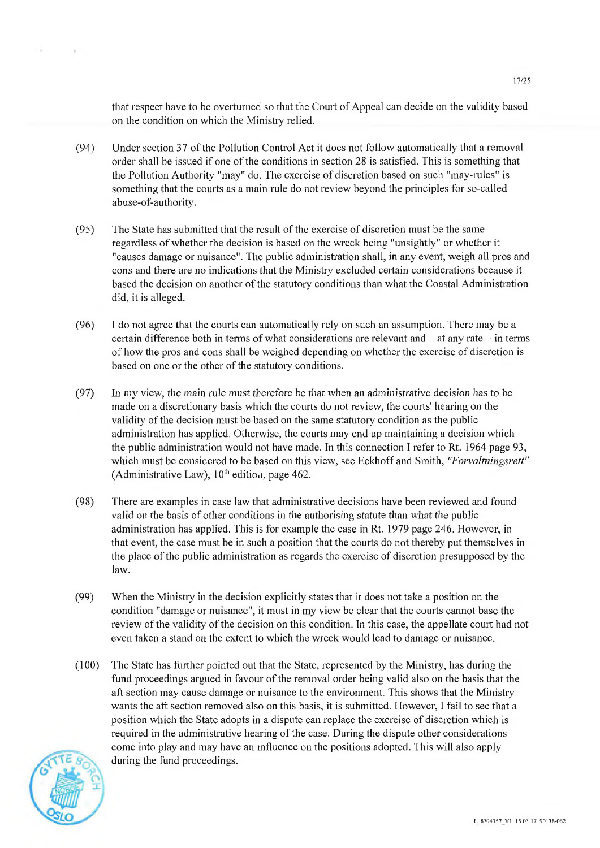that respect have to be overturned so that the Court of Appeal can decide on the validity based on the condition on which the Ministry relied.

- (94) Under section 37 of the Pollution Control Act it does not follow automatically that a removal order shall be issued If one of the conditions in section 28 is satisfied. This is sometbing that the Pollution Authority 'may' do. The exercise of discretion based on such "may-rules" is sornething that the courts as a main rule do not review beyond the principles for so-called abuse-of-authority.
- (95) The State has submitted that the result of the exercise of discretion must be the same regardiess of whether the decision is based on the wreck being "unsightly" or whether it "causes damage or nuisance". The public administration shall, in any event, weigh all pros and cons and there are no indications that the Ministry excluded certain considerations because it based the decision on another of the statutory conditions than what the Coastal Administration did, it is alleged.
- (96) I do not agree that the courts can automatically rely on such an assumption. There may be a certain difference both in terms of what considerations are relevant and  $-$  at any rate  $-$  in terms of how the pros and cons shall be weighed depending on whether the exercise of discretion is based on one or the other of the statutory conditions.
- (97) In my view, the main rule must therefore be that when an administrative decision has to be made on a discretionary basis which the courts do not review, the courts' hearing on the validity of the decision must be based on the same statutory condition as the public administration has applied. Otherwise, the courts may end up maintaining a decision which the public administration would not have made. In this connection I refer to Rt. 1964 page 93, which must be considered to be based on this view, see Eckhoff and Smith, *"Forvaltningsrett"*  (Administrative Law),  $10^{th}$  edition, page 462.
- (98) There are examples in case law that administrative decisions have been reviewed and found valid on the basis of other conditions in the authorising statute than what the public administration has applied. This is for example the case in Rt. 1979 page 246. However, in that event, the case must be in such a position that the courts do not thereby put themselves in the place of the public administration as regards the exercise of discretion presupposed by the Iaw.
- (99) When the Ministry in the decision explicitly states that it does not take a position on the condition "damage or nuisance", it must in my view be clear that the courts cannot base the review of the validity of the decision on this condition. In this case, the appellate court had not even taken a stand on the extent to which the wreck would lead to damage or nuisance.
- (100) The State has further pointed out that the State, represented by the Ministry, has during the fund proceedings argued in favour of the removal order being valid also on the basis that the aft section may cause damage or nuisance to the environment. This shows that the Ministry wants the aft section removed also on this basis, it is submitted. However, I fail to see that a position which the State adopts in a dispute can replace the exercise of discretion which is required in the administrative hearing of the case. During the dispute other considerations come into play and may have an influence on the positions adopted. This will also apply during the fund proceedings.

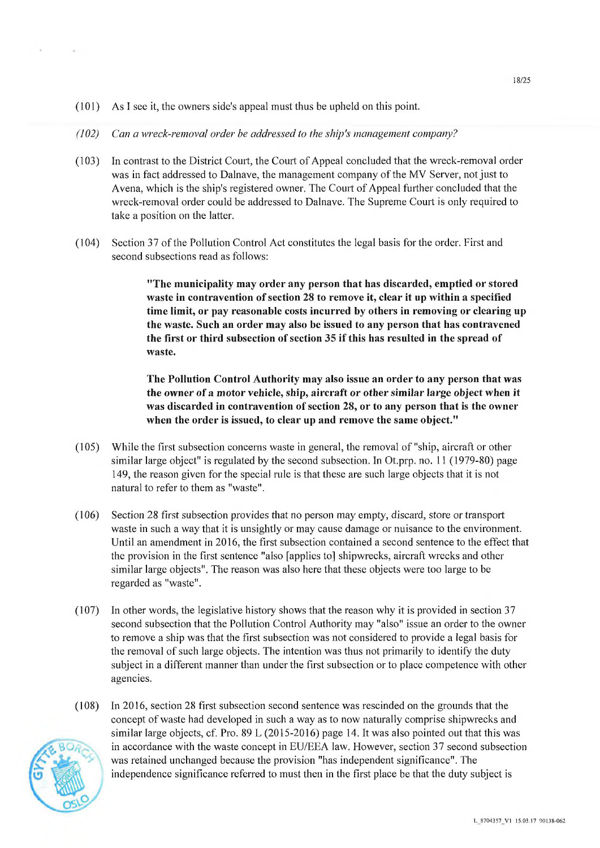- $(101)$  As I see it, the owners side's appeal must thus be upheld on this point.
- *(102) Can a wreck-reinoval order be addressed to the ship s inanageinent company?*
- (103) In contrast to the District Court, the Court of Appeal concluded that the wreck-removal order was in fact addressed to Dainave, the management company of the MV Server, not just to Avena, which is the ship's registered owner. The Court of Appeal further concluded that the wreck-removal order could be addressed to Dalnave. The Supreme Court is only required to take a position on the latter.
- (104) Seetion 37 of the Pollution Control Act constitutes the legal basis for the order. First and second subsections read as foliows:

**"The municipality may ordet any person that has discarded, emptied or stored**  *waste* **in contravention of section 28 to remove it, clear it up within a specified time limit, or pay reasonable costs incurred by others in removing or clearing up the waste. Such an order may also be issued to any person that has contravened the first or third subsection of section** 35 **if this has resulted in the spread of waste.** 

**The Pollution Control Authority may also issue an order to any person that was the owner of a motor vehicie, ship, aircraft or other similar large object when it was discarded in contravention of section 28, or to any person that is the owner when the order is issued, to clear up and remove the same object."** 

- $(105)$  While the first subsection concerns waste in general, the removal of "ship, aircraft or other similar large object" is regulated by the second subsection. In Ot.prp. no. 11(1979-80) page 149, the reason given for the special rute is that these are such large objects that it is not natural to refer to them as "waste".
- (106) Section 28 first subsection provides that no person may empty, discard, store or transport waste in such a way that it is unsightly or may cause damage or nuisance to the environment. Until an amendment in 2016, the first subsection contained a second sentence to the effect that the provision in the first sentence "also [applies to] shipwrecks, aircraft wrecks and other similar large objects". The reason was also here that these objects were too large to be regarded as "waste".
- (107) In other words, the legislative history shows that the reason why it is provided in section 37 second subsection that the Pollution Control Authority may "also" issue an order to the owner to remove a ship was that the first subsection was not considered to provide a legal basis for the removal of such large objects. The intention was thus not primarily to identify the duty subject in a different manner than under the first subsection or to place competence with other agencies.
- (108) In 2016, section 28 first subsection second sentence was rescinded on the grounds that the concept of waste had developed in such a way as to now naturatly cornprise shipwrecks and similar large objects, cf. Pro. 89 L (2015-2016) page 14. It was also pointed out that this was in accordance with the waste concept in EU/EEA law. However, section 37 second subsection was retained unchanged because the provision "has independent significance". The independence significance referred to must then in the first place be that the duty subject is

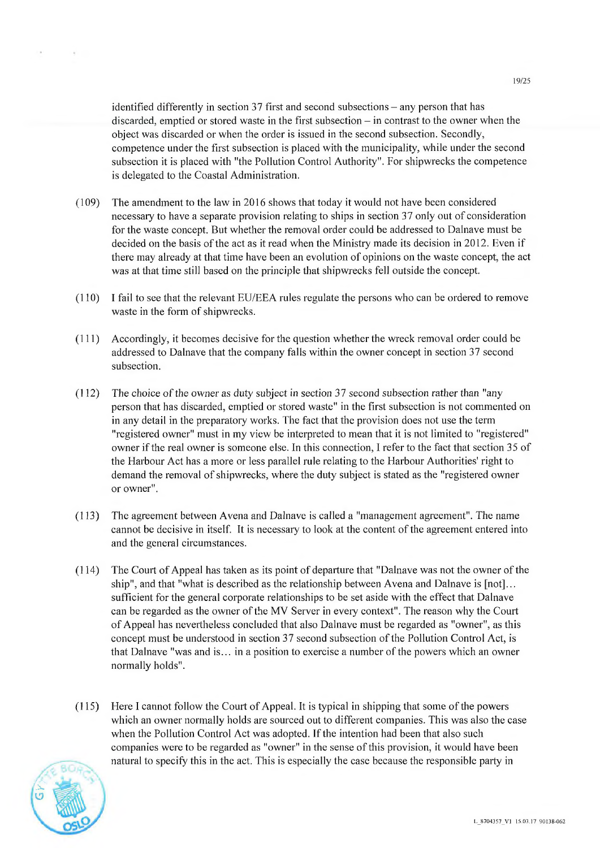identified differently in section 37 first and second subsections – any person that has discarded, emptied or stored waste in the first subsection  $-$  in contrast to the owner when the object was discarded or when the order is issued in the second subsection. Secondly, cornpetence under the first subsection is placed with the municipality, while under the second subsection it is placed with "the Pollution Control Authority". For shipwrecks the competence is delegated to the Coastal Administration.

- (109) The amendrnent to the law in 2016 shows that today it would not have been considered necessary to have a separate provision relating to ships in section 37 only out of consideration for the waste concept. But whether the removal order could be addressed to Dainave must be decided on the basis of the act as it read when the Ministry made its decision in 2012. Even if there may already at that time have been an evolution of opinions on the waste concept, the act was at that time still based on the principle that shipwrecks feil outside the concept.
- (110) I fail to see that the relevant EU/EEA rules regulate the persons who can be ordered to remove waste in the form of shipwrecks.
- (111) Accordingly, it becomes decisive for the question whether the wreck removal order could be addressed to Dainave that the company falls within the owner concept in section 37 second subsection.
- (112) The choice of the owner as duty subject in section 37 second subsection rather than "any person that has discarded, emptied or stored waste" in the first subsection is not commented on in any detail in the preparatory works. The fact that the provision does not use the term "registered owner" must in my view be interpreted to mean that it is not limited to "registered" owner ifthe real owner is someone else. In this connection, I refer to the fact that section 35 of the Harbour Act has a more or less paraliel rule relating to the Harbour Authorities' right to demand the removal of shipwrecks, where the duty subject is stated as the "registered owner or owner".
- (113) The agreement between Avena and Dalnave is calied a "management agreement". The name cannot be decisive in itself. It is necessary to look at the content of the agreement entered into and the general circumstances,
- (114) The Court of Appeal has taken as its point of departure that "Dainave was not the owner of the ship", and that "what is described as the relationship between Avena and Dalnave is  $[not]$ ... sufficient for the general corporate relationships to be set aside with the effect that Dalnave can be regarded as the owner of the MV Server in every context". The reason why the Court of Appeal has nevertbeless concluded that also Dalnave must be regarded as "owner", as this concept must be understood in section 37 second subsection of the Poliution Control Act, is that Dainave "was and is... in a position to exercise a number of the powers which an owner normally holds".
- (115) Here I cannot folbow the Court of Appeal. It is typica1 in shipping that some of the powers which an owner normally holds are sourced out to different companies. This was also the case when the Pollution Control Act was adopted. If the intention had been that also such companies were to be regarded as "owner" in the sense of this provision, it would have been natural to specify this in the act. This is especially the case because the responsible party in (115) Here I cannot follow the Court of Appeal. It is typical in shipping that some of the powers<br>which an owner normally holds are sourced out to different companies. This was also the case<br>when the Pollution Control Act

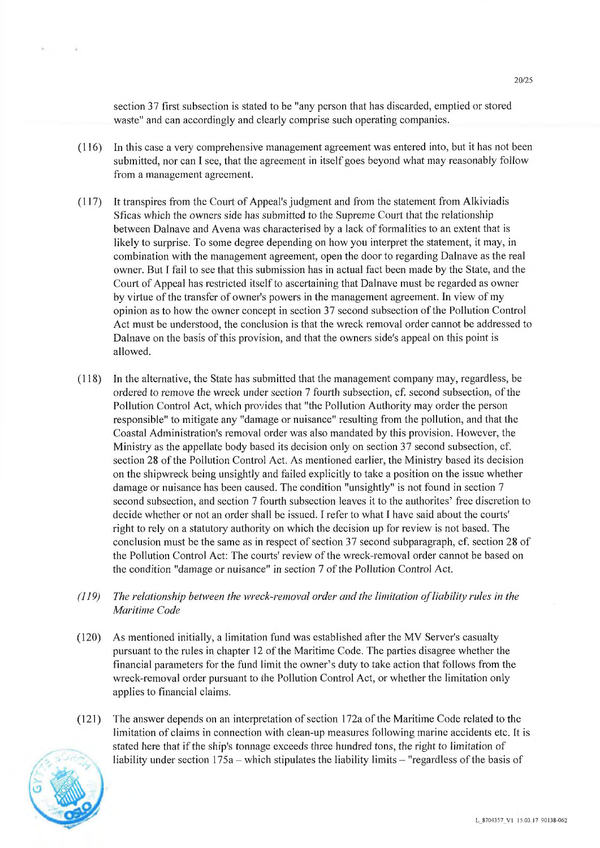section 37 first subsection is stated to be "any person that has discarded, emptied or stored waste" and can accordingly and elearly comprise such operating companies.

- (116) In this case a very comprehensive management agreement was entered into, but it has not been submitted, nor can I see, that the agreement in itself goes beyond what may reasonably follow from a management agreement.
- (117) It transpires from the Court of Appeal's judgment and from the statement from Alkiviadis Sficas which the owners side has submitted to the Supreme Court that the relationship between Dainave and Avena was characterised by a lack of formalities to an extent that is likely to surprise. To some degree depending on how you interpret the statement, it may, in combination with the management agreement, open the door to regarding Dalnave as the real owner. But I fail to see that this submission has in actual fact been made by the State, and the Court of Appeal has restricted itself to ascertaining that Dalnave must be regarded as owner by virtue of the transfer of owner's powers in the management agreernent. In view of my opinion as to how the owner concept in section 37 second subsection of the Pollution Control Act must be understood, the conclusion is that the wreck removal order cannot be addressed to Dainave on the basis of this provision, and that the owners side's appeal on this point is allowed.
- (118) In the alternative, the State has subrnitted that the management company may, regardiess, be ordered to rernove the wreck under section 7 fourth subsection, cf. second subsection, of the Pollution Control Act, which provides that "the Pollution Authority may order the person responsible" to mitigate any "damage or nuisance" resulting from the pollution, and that the Coastal Administration's rernoval order was also mandated by this provision. However, the Ministry as the appellate body based its decision only on section 37 second subsection, cf. section 28 of the Pollution Control Act. As mentioned earlier, the Ministry based its decision on the shipwreck being unsightly and failed explicitly to take a position on the issue whether damage or nuisance has been caused. The condition "unsightly" is not found in section 7 second subsection, and section 7 fourth subsection leaves it to the authorites' free discretion to decide whether or not an order shall be issued. I refer to what I have said about the courts' right to rely on a statutory authority on which the decision up for review is not based. The conclusion must be the same as in respect of section 37 second subparagraph, cf. section 28 of the Pollution Control Act: The courts' review of the wreck-removal order cannot be based on the condition "damage or nuisance" in section 7 of the Pollution Control Act.
- *(119)* The relationship between the wreck-removal order and the limitation of liability rules in the *Maritime Gode*
- (120) As mentioned initially, a limitation fund was established after the MV Server's casualty pursuant to the rules in chapter 12 of the Maritime Code. The parties disagree whether the financial parameters for the fund limit the owner's duty to take action that follows from the wreck-removal order pursuant to the Pollution Control Act, or whether the limitation only applies to financial claims.
- (121) The answer depends on an interpretation of section 172a of the Maritime Code related to the limitation of claims in connection with clean-up measures following marine accidents etc. It is stated here that ifthe ship's tonnage exceeds three hundred tons, the right to limitation of liability under section  $175a$  – which stipulates the liability limits – "regardless of the basis of

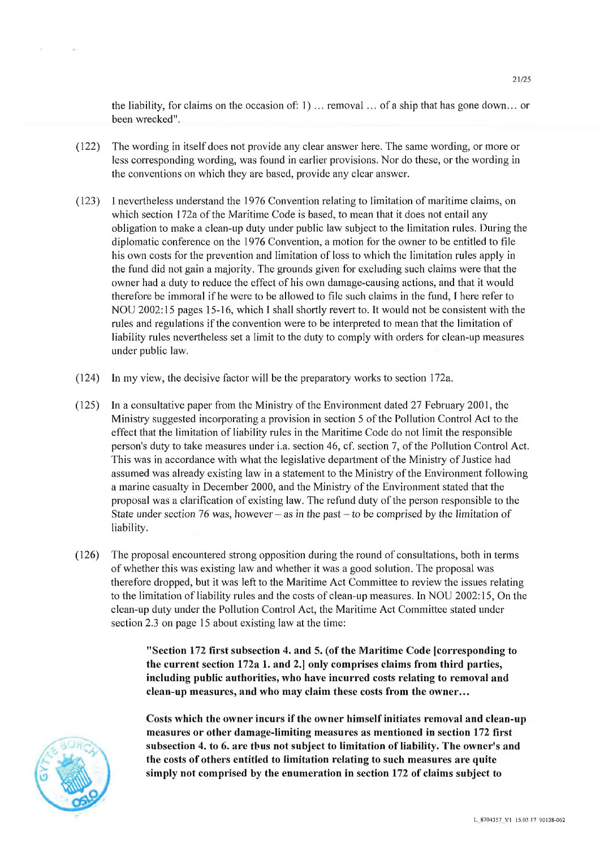the liability, for claims on the occasion of: 1)  $\ldots$  removal  $\ldots$  of a ship that has gone down... or been wrecked".

- (122) The wording in itseif does not provide any clear answer here. The same wording, or more or less corresponding wording, was found in earlier provisions. Nor do these, or the wording in the conventions on which they are based, provide any clear answer.
- (123) I nevertheless understand the 1976 Convention relating to limitation of maritime claims, on which section 172a of the Maritime Code is based, to mean that it does not entail any obligation to make a elean-up duty under public law subject to the limitation rules. During the diplomatic conference on the 1976 Convention, a motion for the owner to be entitled to file his own costs for the prevention and limitation of loss to which the limitation rules apply in the fund did not gain a majority. The grounds given for excluding such claims were that the owner had a duty to reduce the effect of his own damage-causing actions, and that it would therefore be immoral ifhe were to be allowed to file such claims in the fund, I here refer to NOU 2002:15 pages 15-16, which I shall shortly revert to. It would not be consistent with the rules and regulations if the convention were to be interpreted to mean that the limitation of liability rules nevertheless set a limit to the duty to comply with orders for clean-up measures under public law.
- (124) In my view, the decisive factor will be the preparatory works to section 172a.
- $(125)$  In a consultative paper from the Ministry of the Environment dated 27 February 2001, the Ministry suggested incorporating a provision in section 5 of the Pollution Control Act to the effect that the limitation of liability rules in the Maritime Code do not limit the responsible person's duty to take measures under i.a. section 46, cf. section 7, of the Pollution Control Act. This was in accordance with what the legislative departrnent of the Ministry of Justice bad assumed was already existing law in a statement to the Ministry of the Environment foliowing a marine casualty in December 2000, and the Ministry of the Environment stated tbat the proposal was a ciarification of existing law. The refund duty of the person responsible to the State under section 76 was, however – as in the past – to be comprised by the limitation of liability.
- (126) The proposal encountered strong opposition during the round ofconsultations, both in terms ofwhether this was existing law and whether it was a good solution. The proposal was therefore dropped, but it was left to the Maritime Act Committee to review the issues relating to the limitation of liability rules and the costs of clean-up measures. In NOU 2002:15, On the clean-up duty under the Pollution Control Act, the Maritime Act Committee stated under section 2.3 on page 15 about existing law at the time:

**"Section 172 first subsection 4. and 5. (of the Maritime Code Icorresponding to the current section 172a 1. and** 2.1 **only comprises claims from third parties, ineluding public authorities, who have incurred costs relating to removal and clean-up measures, and who may claim these costs from the owner...** 

**Costs which the owner incurs if the owner himseif initiates removal and clean-up measures or other damage-limiting measures as mentioned in section 172 first subsection 4. to 6. are tbus not subject to limitation of liability. The owner's and**  - **the costs of others entitled to limitation relating to such measures are quite simply not comprised by the enumeration in section 172 of claims subject to** 

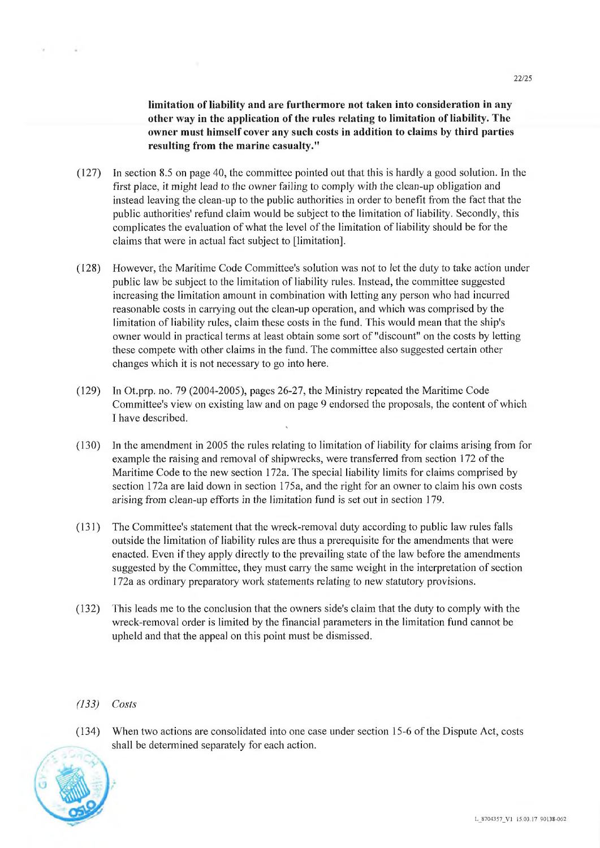**limitation of liability and are fur ther more not taken into consideration in any other** *way* **in the application of the rules relating to limitation of liability. The owner must himseif cover any such costs in addition to claims by third parties resulting from the marine casualty."** 

- (127) In section 8.5 on page 40, the committee pointed out that this is hardly a good solution. In the first place, it might lead to the owner failing to comply with the clean-up obligation and instead leaving the clean-up to the public authorities in order to benefit from the fact that the public authorities' refund claim would be subject to the limitation of liability. Secondly, this complicates the evaluation of what the level of the limitation of liability should be for the claims that were in actual fact subject to [limitation].
- (128) However, the Maritime Code Committee's solution was not to let the duty to take action under public !aw be subject to the limitation of liability rules. Instead, the committee suggested increasing the limitation amount in combination with letting any person who had incurred reasonable costs in carrying out the clean-up operation, and which was comprised by the limitation of liability rules, claim these costs in the fund. This would mean that the ship's owner would in practical terms at least obtain some sort of "discount" on the costs by letting these compete with other claims in the fund. The committee a!so suggested certain other changes which it is not necessary to go into here.
- (129) In Ot.prp. no. 79 (2004-2005), pages 26-27, the Ministiy repeated the Maritime Code Committee's view on existing law and on page 9 endorsed the proposals, the content of which **I** have described.
- (130) In the amendment in 2005 the rules relating to limitation of liability for claims arising from for example the raising and rernoval of shipwrecks, were transferred from section 172 of the Maritime Code to the new section 172a. The special liability limits for claims comprised by section 172a are laid down in section 175a, and the right for an owner to claim his own costs arising from clean-up efforts in the limitation fund is set out in section 179.
- (131) The Committee's statement that the wreck-removal duty according to public law rules falls outside the limitation of liability rules are thus a prerequisite for the amendments that were enacted. Even if they apply directly to the prevailing state of the law before the amendments suggested by the Committee, they must carry the same weight in the interpretation of section 172a as ordinary preparatory work statements relating to new statutory provisions.
- (132) This leads me to the conclusion that the owners side's claim that the duty to comply with the wreck-removal order is limited by the financial parameters in the limitation fund cannot be upheld and that the appeal on this point must be dismissed.
- (133) Costs
- (134) When two actions are consolidated into one case under section 15-6 of the Dispute Act, costs shall be determined separately for each action.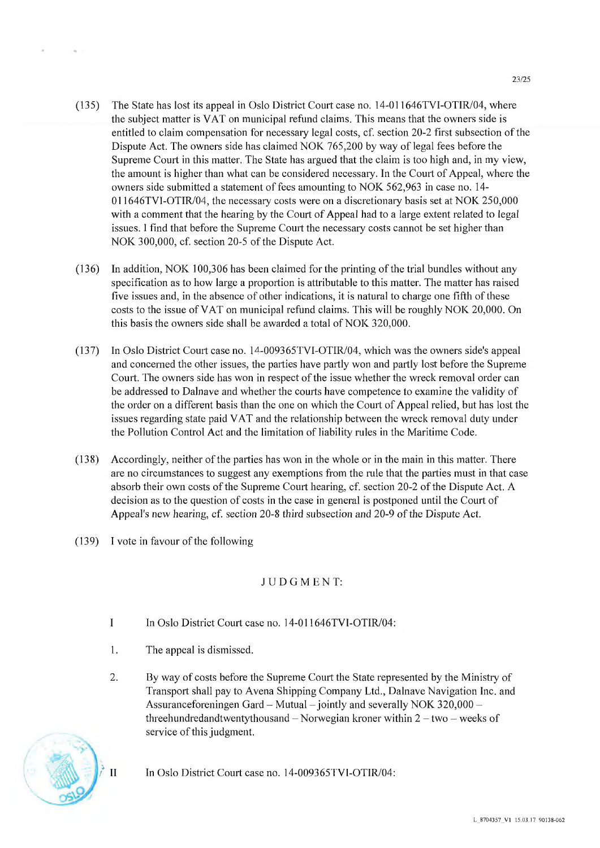- (135) The State has lost its appeal in Oslo District Court case no. 14-01 1646TV1-OTIR/04, where the subject matter is VAT on municipal refund claims. This means that the owners side is entitled to claim compensation for necessary legal costs, cf. section 20-2 first subsection of the Dispute Act. The owners side has c!aimed NOK *765,200* by way of legal fees before the Supreme Court in this matter. The State has argued that the claim is too high and, in my view, the amount is higher than what can be considered necessary. In the Court of Appeal, where the owners side submitted a statement of fees amounting to NOK 562,963 in case no. 14- $011646$  TVI-OTIR/04, the necessary costs were on a discretionary basis set at NOK 250,000 with a comment that the hearing by the Court of Appeal had to a large extent related to legal issues. I find that before the Supreme Court the necessary costs cannot be set higher than NOK 300,000, cf. section 20-5 of the Dispute Act.
- (136) In addition, NOK 100,306 has been claimed for the printing of the trial bundles without any specification as to how large a proportion is attributable to this matter. The matter has raised five issues and, in the absence of other indications, it is natural to charge one fifth of these costs to the issue of VAT on municipal refund claims. This will be roughly NOK 20,000. On this basis the owners side shall be awarded a total of NOK 320,000.
- (137) In Oslo District Court case **no.** 14-009365TV1-OTIRI04, which was the owners side's appeal and concerned the other issues, the parties have partly won and partly lost before the Suprerne Court. The owners side has won in respect of the issue whether the wreck rernoval order can be addressed to Dainave and whether the courts have competence to exarnine the validity of the order on a different basis than the one on which the Court of Appeal relied, but has lost the issues regarding state paid VAT and the relationship between the wreck removal duty under the Pollution Control Act and the limitation of liability rules in the Maritime Code.
- (138) Accordingly, neither of the parties has **won in** the whole or in the main in this matter. There are no circumstances to suggest any exemptions from the rule that the parties must in that case absorb their own costs of the Supreme Court hearing, cf. section 20-2 of the Dispute Act. A decision as to the question of costs in the case in general is postponed until the Court of Appeal's new hearing, cf. section 20-8 third subsection and 20-9 of the Dispute Act.
- $(139)$  I vote in favour of the following

## JUDGM ENT:

- $\overline{1}$ In Oslo District Court case no. 14-01 1646TV1-OTIR/04:
- 1. The appeal is dismissed.
- 2. By way of costs before the Supreme Court the State represented by the Ministry of Transport shall pay to Avena Shipping Company Ltd., Dalnave Navigation Inc. and Assuranceforeningen Gard  $-$  Mutual  $-$  jointly and severally NOK 320,000  $$ threehundredandtwentythousand – Norwegian kroner within 2 – two – weeks of service of this judgment.



II In Oslo District Court case no. 14-009365TVI-OTIR/04: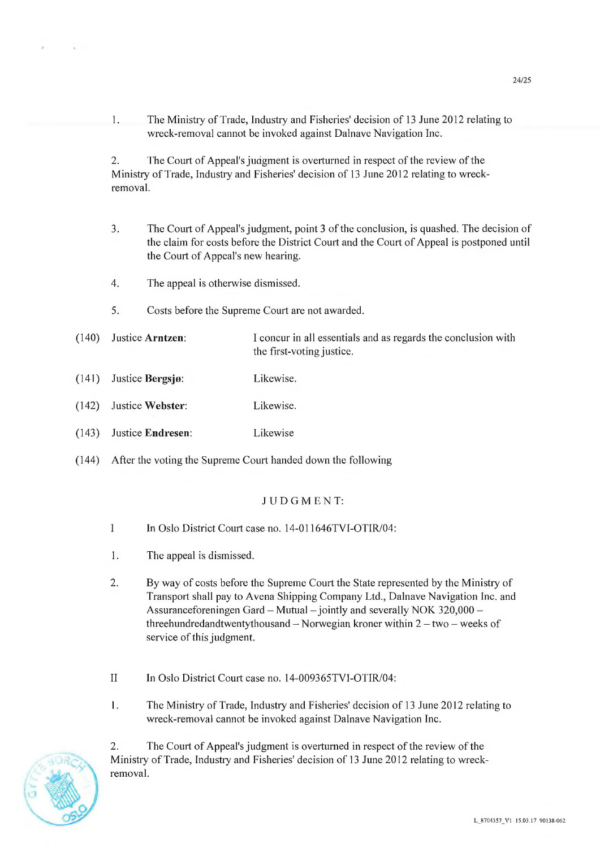The Ministry of Trade, Industry and Fisheries' decision of 13 June 2012 relating to  $1$ wreck-removal cannot be invoked against Dalnave Navigation Inc.

2. The Court of Appeal's judgment is overturned in respect of the review of the Ministry of Trade, Industiy and Fisheries' decision of 13 June 2012 relating to wreckremoval.

- 3. The Court of Appeal's judgment, point 3 of the conclusion, is quashed. The decision of the claim for costs before the District Court and the Court of Appeal is postponed until the Court of Appeal's new hearing.
- 4. The appeal is otherwise dismissed.
- 5. Costs before the Supreme Court are not awarded.
- (140) Justice **Arntzen:** I concur in all essentials and as regards the conclusion with the first-voting justice.
- (141) Justice **Bergsjø:** Likewise.
- (142) Justice **Webster:** Likewise.
- (143) Justice Endresen: Likewise
- (144) After the voting the Supreme Court handed down the foliowing

## J UDGM ENT:

- I In Oslo District Court case no. 14-011646TVI-OTIR/04:
- 1. The appeal is dismissed.
- 2. By way of costs before the Supreme Court the State represented by the Ministry of Transport shall pay to Avena Shipping Company Ltd., Dalnave Navigation Inc. and Assuranceforeningen Gard - Mutual - jointly and severally NOK  $320,000$  threehundredandtwentythousand – Norwegian kroner within  $2 - two - weeks$  of service of this judgment.
- II In Oslo District Court case no. 14-009365TVI-OTIR/04:
- $\mathbf{1}$ . The Ministry of Trade, Industiy and Fisheries' decision of 13 June 2012 relating to wreck-rernoval cannot be invoked against Dalnave Navigation Inc.

2. The Court of Appeal's judgment is overturned in respect of the review of the Ministry of Trade, Industry and Fisheries' decision of 13 June 2012 relating to wreckremoval.